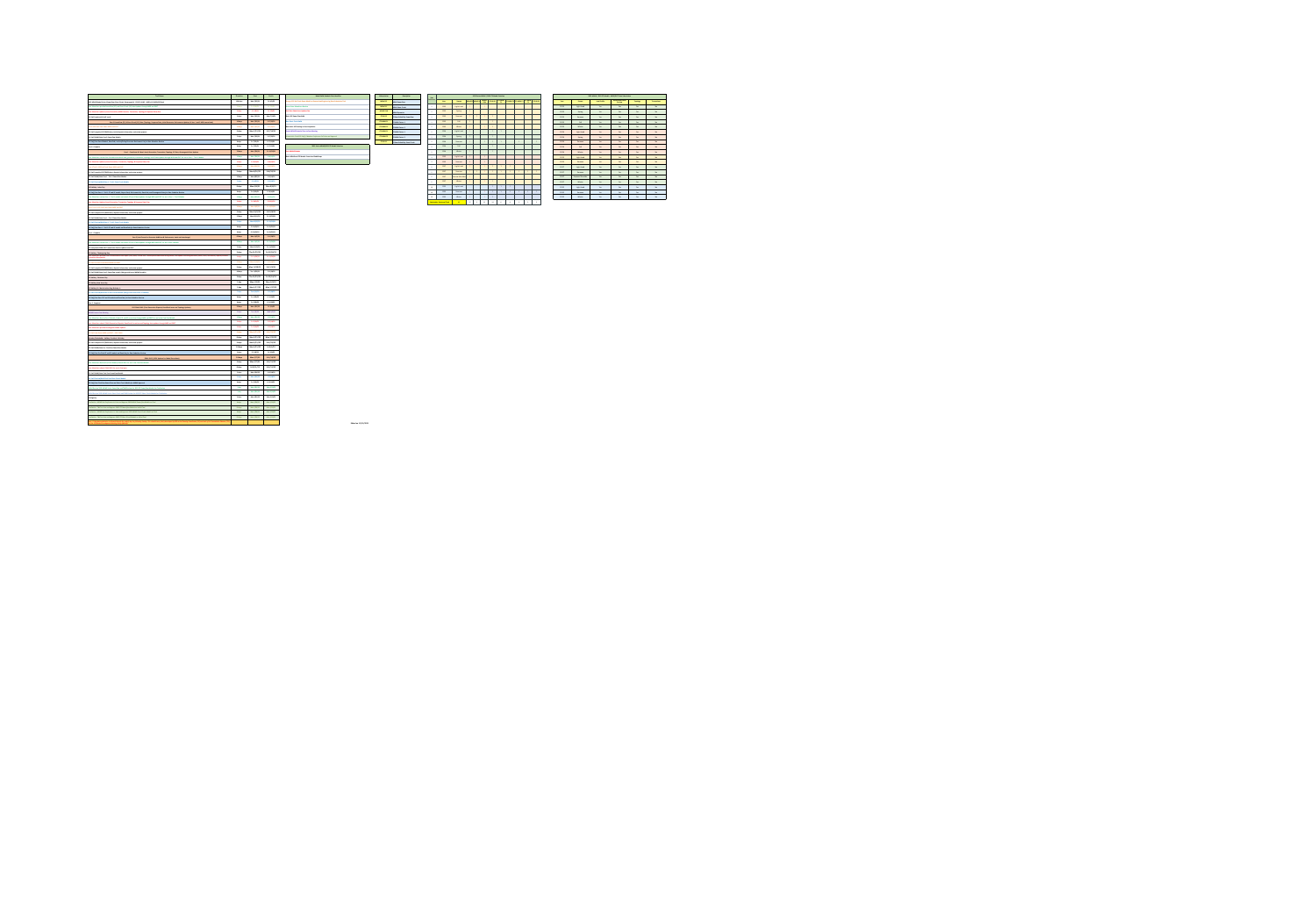| Model Build Schedule Color Identifier                                            |  |
|----------------------------------------------------------------------------------|--|
| Orange: SPP Staff Lock Down Model on Demand and Engineering Data Submission Tool |  |
| <b>Green: Data Submitters Review</b>                                             |  |
| <b>Red: Data Submitters Updates Due</b>                                          |  |
| <b>Black: SPP PowerFlow Build</b>                                                |  |
| <b>Blue: Short Circuit Build</b>                                                 |  |
| <b>Black Italic: SPP Posting or Pass Completion</b>                              |  |
| <b>Purple: MDAG Potential Face-to-Face Meeting</b>                               |  |
| Green Italic: Final SPP Staff / Member Conference Call Vote and Approval         |  |
|                                                                                  |  |
| 2022 Series MDAG/2023 ITP Model Selection                                        |  |
| <b>Red: MMWG Models</b>                                                          |  |
| Black: MDAG and ITP Models- Posted on GlobalScape                                |  |

| <b>Abbreviation</b> | <b>Description</b>                        | Ye             |
|---------------------|-------------------------------------------|----------------|
| <b>MDAG PF</b>      | <b>MDAG Powerflow</b>                     | <b>Defin</b>   |
| <b>MDAG SC</b>      | <b>MDAG Short Circuit</b>                 | $\mathbf{1}$   |
| <b>MDAG DYN</b>     | <b>MDAG Dynamics</b>                      | $\mathbf{1}$   |
| <b>ITP BR PF</b>    | <b>ITP Base Reliability Powerflow</b>     | 1              |
| <b>ITP MPM F1</b>   | <b>ITP MPM Future 1</b>                   | $\mathbf{1}$   |
| <b>ITP MPM F2</b>   | <b>ITP MPM Future 2</b>                   | 1              |
| <b>ITP MEM F1</b>   | <b>ITP MEM Future 1</b>                   | $\overline{c}$ |
| <b>ITP MEM F2</b>   | <b>ITP MEM Future 2</b>                   | $\overline{2}$ |
| <b>ITP BR SC</b>    | <b>ITP Base Reliability Short Circuit</b> | $\overline{2}$ |
|                     |                                           | ∍              |

| <b>Task Name</b>                                                                                                                                                                                                                      | <b>Duration</b> | <b>Start</b>      | <b>Finish</b>     |
|---------------------------------------------------------------------------------------------------------------------------------------------------------------------------------------------------------------------------------------|-----------------|-------------------|-------------------|
| 2022 MDAG Model Series (Powerflow, Short Circuit, Geomagnetic) - PSS/E v34.8.2 - MOD v11 (MOD-032 East)                                                                                                                               | 190 days        | Mon 7/12/21       | Fri 4/1/22        |
| Data Submitters provide Powerflow (PF) and Short Circuit (SC) data Updates through MOD and EDST                                                                                                                                       | 76 days         | Fri 3/26/21       | Fri 7/9/21        |
| Data Submitter Updates (Load, Generation, MOD Committ, Transaction, Topology & Sequence Data) Due                                                                                                                                     | 0 days          | Fri 7/9/21        | Fri 7/9/21        |
| SPP Staff send out kick-off email                                                                                                                                                                                                     | 0 days          | Mon 7/12/21       | Mon 7/12/21       |
| Pass 0: Powerflow (PF) & Short Circuit (SC) Data (Topology, Sequence Data, Initial Generator Retirements Updates, & Year 1 and 5 MOD committed)                                                                                       | 10 days         | Mon 7/12/21       | Fri 7/23/21       |
| Pass 0: SPP Staff Lock Down MOD and EDST                                                                                                                                                                                              | 10 days         | Mon 7/12/21       | Fri 7/23/21       |
| SPP Staff complies EDST/MOD data, initial dispatch information, and review projects                                                                                                                                                   | 5 days          | Mon 7/12/21       | Fri 7/16/21       |
| SPP Staff Build/Solve Pass 0 Powerflow Models                                                                                                                                                                                         | 5 days          | Mon 7/19/21       | Fri 7/23/21       |
| SPP Staff Post Pass 0 Models, DocuCode, and conflicting Generator Retirement List for Data Submitter Review                                                                                                                           | 0 days          | Fri 7/23/21       | Fri 7/23/21       |
| Pass 0 - Complete                                                                                                                                                                                                                     | 0 days          | Fri 7/23/21       | Fri 7/23/21       |
| Pass 1 - Coordinate & Submit Load, Generation, Transaction, Topology, SC Data, Geomagnetic Data Updates                                                                                                                               | 70 days         | Mon 7/26/21       | Fri 10/29/21      |
| Data Submitters review Pass 0 models and submit load, generation, transaction, topology and SC data updates through MOD and EDST for use in Pass 1 - Trial 1 Models                                                                   | 15 days         | Mon 7/26/21       | Fri 8/13/21       |
| Data Submitter Updates (Load, Generation, Transaction, Topology & Sequence Data) Due                                                                                                                                                  | 0 days          | Fri 8/13/21       | Fri 8/13/21       |
| Pass 1-Trial 1: SPP Staff Lock Down MOD and EDST                                                                                                                                                                                      | 20 days         | Mon 8/16/21       | Fri 9/10/21       |
| SPP Staff complies EDST/MOD data, dispatch information, and review projects                                                                                                                                                           | 5 days          | Mon 8/16/21       | Fri 8/20/21       |
| SPP Staff Build/Solve Pass 1 - Trial 1 Powerflow Models                                                                                                                                                                               | 15 days         | Mon 8/23/21       | Fri 9/10/21       |
| SPP Staff Review/Build Pass 1 - Trial 1 Short Circuit Models                                                                                                                                                                          | 5 days          | Fri 9/3/21        | Fri 9/10/21       |
| SPP Holiday - Labor Day                                                                                                                                                                                                               | 0 days          | Mon 9/6/21        | Mon 9/6/21        |
| SPP Staff Post Pass 1 - Trial 1 PF and SC models, Report Card, Retirement List, DocuCode, and Geomagnetic Data for Data Submitter Review                                                                                              | 0 days          | Fri 9/10/21       | Fri 9/10/21       |
| Data Submitters review Pass 1 - Trial 1 models and submit PF and SC data updates through MOD and EDST for use in Pass 1 - Trial 2 Models                                                                                              | 15 days         | Mon 9/13/21       | Fri 10/1/21       |
|                                                                                                                                                                                                                                       | 0 days          | Fri 10/1/21       | Fri 10/1/21       |
| Data Submitter Updates (Load, Generation, Transaction, Topology & Sequence Data) Due                                                                                                                                                  | 20 days         | Mon 10/4/21       | Fri 10/29/21      |
| Pass 1-Trial 2: SPP Staff Lock Down MOD and EDST                                                                                                                                                                                      |                 |                   |                   |
| SPP Staff complies EDST/MOD data, dispatch information, and review projects                                                                                                                                                           | 5 days          | Mon 10/4/21       | Fri 10/8/21       |
| SPP Staff Build/Solve Pass 1 - Trial 2 Powerflow Models                                                                                                                                                                               | 15 days         | Mon 10/11/21      | Fri 10/29/21      |
| SPP Staff Review/Build Pass 1 - Trial 2 Short Circuit Models                                                                                                                                                                          | 5 days          | Mon 10/25/21      | Fri 10/29/21      |
| SPP Staff Post Pass 1 - Trial 2 PF and SC models and DocuCode for Data Submitter Review                                                                                                                                               | 0 days          | Fri 10/29/21      | Fri 10/29/21      |
| Pass 1 - Complete                                                                                                                                                                                                                     | 0 days          | Fri 10/29/21      | Fri 10/29/21      |
| Pass 2 (Last Chance for Generator Additions & Retirements, Loads and Interchange)                                                                                                                                                     | 65 days         | Mon $11/1/21$     | Fri 1/28/22       |
| Data Submitters review Pass 1 - Trial 2 models and submit PF and SC data updates through MOD and EDST for use in Pass 2 Models                                                                                                        | 20 days         | Mon $11/1/21$     | Fri 11/26/21      |
| SPP incorporate 2020 AG1 Transmission Service updates into EDST                                                                                                                                                                       | 5 days          | Mon 11/22/21      | Fri 11/26/21      |
| SPP Holiday - Thanksgiving Day<br>Data Submitters provide Final Transmission Service Inputs (AG1) Data, review Pass 2 models/data submission through MOD, final update load and generation (Pmax, Pmin, retirement) reports/reconcile | 2 days          | Thu 11/25/21      | Fri 11/26/21      |
| transaction discrepancies                                                                                                                                                                                                             | 0 days          | Fri 11/26/21      | Fri 11/26/21      |
| SPP Staff for Pass 2 Lock Down MOD and EDST                                                                                                                                                                                           | 35 days         | Mon 11/29/21      | Fri 1/14/22       |
| SPP Staff complies EDST/MOD data, dispatch information, and review projects                                                                                                                                                           | 5 days          | Mon 11/29/21      | Fri 12/3/21       |
| SPP Staff Build/Solve Pass 2 Powerflow models (Merge with latest MMWG models)                                                                                                                                                         | 44 days         | Tue 11/30/21      | Fri 1/28/22       |
| SPP Holiday - Christmas Day                                                                                                                                                                                                           | 2 days          | Thu 12/23/21      | Fri 12/24/21      |
| <b>SPP Holiday -New Years Day</b>                                                                                                                                                                                                     | 1 day           | <b>Mon 1/3/22</b> | Mon 1/3/22        |
| SPP Holiday -Dr. Martin Luther King Birthday Jr.                                                                                                                                                                                      | 1 day           | Mon 1/17/22       | Mon 1/17/22       |
| SPP Staff Review/Build Pass 2 Short Circuit Models (Merge with latest SERC SC Models)                                                                                                                                                 | 7 days          | Thu 1/20/22       | Fri 1/28/22       |
| SPP Staff Post Pass 2 PF and SC models and DocuCode for Data Submitter Review                                                                                                                                                         | 0 days          | Fri 1/28/22       | Fri 1/28/22       |
| Pass 2 - Complete                                                                                                                                                                                                                     | 0 days          | Fri 1/28/22       | Fri 1/28/22       |
| PRE-FINAL PASS (Final Generation Dispatch, DocuCheck Issues and Topology Updates)                                                                                                                                                     | 25 days         | Mon 1/31/22       | Fri 3/4/22        |
| <b>MDAG Face-to-Face Meeting</b>                                                                                                                                                                                                      | 2 days          | Tue $2/1/22$      | <b>Wed 2/2/22</b> |
| Data Submitters Review Pass 2 Models; Submit PF and SC corrections through MOD and EDST for use in the Final Pass Models                                                                                                              | 15 days         | Mon 1/31/22       | Fri 2/18/22       |
| Data Submitters submit FINAL Generation Dispatch, DocuCheck Corrections and Topology data updates through MOD and EDST                                                                                                                | 0 days          | Fri 2/18/22       | Fri 2/18/22       |
| Data Submitters provide Geomagnetic Model Updates                                                                                                                                                                                     | 0 days          | Fri 2/18/22       | Fri 2/18/22       |
|                                                                                                                                                                                                                                       | 5 days          | Mon 2/21/22       | Fri 2/25/22       |
| SPP Staff Lock Down MOD and EDST - PRE- FINAL                                                                                                                                                                                         | 0 days          | Mon 2/21/22       | Mon 2/21/22       |
| Member/Stakeholder Holiday -President's Birthday                                                                                                                                                                                      | 5 days          | Mon 2/21/22       | Fri 2/25/22       |
| SPP Staff complies EDST/MOD data, dispatch information, and review projects                                                                                                                                                           | 10 days         | Mon 2/21/22       | Fri 3/4/22        |
| SPP Staff Build/Solve Pre- Final Pass Powerflow Models                                                                                                                                                                                |                 |                   |                   |
| SPP Staff Post Pre-Final PF and SC models and DocuCode for Data Submitter Review                                                                                                                                                      | 0 days          | Fri 3/4/22        | Fri 3/4/22        |
| <b>FINAL PASS (IDEV Updates for Model Corrections)</b>                                                                                                                                                                                | 10 days         | Mon 3/7/22        | Fri $3/18/22$     |
| Data Submitters Review Pre-Final Models; Submit IDEV for use in the Final Pass Models                                                                                                                                                 | 5 days          | Mon 3/7/22        | Fri 3/11/22       |
| Data Submitters submit FINAL IDEV for use in final pass                                                                                                                                                                               | 0 days          | Fri 3/11/22       | Fri 3/11/22       |
| SPP Staff Build/Solve Final Pass Powerflow Models                                                                                                                                                                                     | 5 days          | Mon 3/14/22       | Fri 3/18/22       |
| <b>SPP Staff Review/Build Final Pass Short Circuit Models</b>                                                                                                                                                                         | 5 days          | Mon 3/14/22       | Fri 3/18/22       |
| SPP Staff Post Final Pass PowerFlow and Short Circuit Models for MDAG Approval                                                                                                                                                        | 0 days          | Fri 3/18/22       | Fri 3/18/22       |
| MDAG Review 2022 MDAG Series Powerflow and TWG Review for 2023 ITP Powerflow Models for Finalization                                                                                                                                  | 1 day           | Mon 3/21/22       | Mon 3/21/22       |
| MDAG Review 2022 MDAG Series Short Circuit and TWG Review for 2023 ITP Short Circuit Models for Finalization                                                                                                                          | 1 day           | Mon 3/21/22       | Mon 3/21/22       |
| Contingency                                                                                                                                                                                                                           | 0 days          | Mon 3/21/22       | Mon 3/21/22       |
| Finalization - MDAG Net Conference to Vote and Approve 2022 MDAG Powerflow Models as Final                                                                                                                                            | 0 days          | Mon 3/28/22       | Mon 3/28/22       |
| Finalization - TWG to Vote and Approve 2023 ITP Powerflow Models as Initial-Final                                                                                                                                                     | 0 days          | Mon 3/28/22       | Mon 3/28/22       |
| Finalization - MDAG Net Conference to Vote and Approve 2022 MDAG Short Circuit Models as Final                                                                                                                                        | O days          | Mon 3/28/22       | Mon 3/28/22       |
| Finalization - TWG to Vote and Approve 2023 ITP Short Circuit Models as Initial-Final                                                                                                                                                 | 0 days          | Mon 3/28/22       | Mon 3/28/22       |
| Note: Friday data submission is allowed through the end of day the following Sunday. This schedule was jointly developed by SPP as the Planning Coordinator (PC) and each of its Transmission Planners (TPs)                          |                 |                   |                   |

|      |                   |                |                 |                           |                  | 2022 Series MDAG / 2023 ITP Model Selection |                |                              |                |                   |
|------|-------------------|----------------|-----------------|---------------------------|------------------|---------------------------------------------|----------------|------------------------------|----------------|-------------------|
| Year | Season            |                | MDAG PF MDAG SC | <b>MDAG</b><br><b>DYN</b> | <b>ITP BR PF</b> | <b>ITP MPM</b><br>F1                        |                | <b>ITP MPM F2 ITP MEM F1</b> | F <sub>2</sub> | ITP MEM TTP BR SC |
| 2023 | <b>Light Load</b> |                |                 |                           |                  |                                             |                |                              |                |                   |
| 2023 | Spring            | $\mathbf{1}$   |                 |                           |                  |                                             |                |                              |                |                   |
| 2023 | Summer            | $\mathbf{1}$   |                 |                           |                  |                                             |                |                              |                |                   |
| 2023 | Fall              | $\mathbf{1}$   |                 |                           |                  |                                             |                |                              |                |                   |
| 2023 | Winter            | $\mathbf{1}$   |                 |                           |                  |                                             |                |                              |                |                   |
| 2024 | Light Load        | $\mathbf{1}$   |                 |                           |                  |                                             |                |                              |                |                   |
| 2024 | Spring            | $\overline{1}$ |                 |                           |                  |                                             |                |                              |                |                   |
| 2024 | Summer            | $\mathbf{1}$   |                 | $\overline{1}$            |                  |                                             |                |                              |                | $\mathbf{1}$      |
| 2024 | Fall              |                |                 |                           |                  |                                             |                |                              |                |                   |
| 2024 | Winter            | $\mathbf{1}$   |                 |                           |                  |                                             |                |                              |                |                   |
| 2025 | Light Load        | $\mathbf{1}$   |                 |                           |                  |                                             |                |                              |                |                   |
| 2025 | Summer            | $\mathbf{1}$   |                 | $\mathbf{1}$              |                  |                                             |                |                              |                |                   |
| 2027 | Light Load        | $\mathbf{1}$   |                 | $\mathbf{1}$              |                  |                                             | $\overline{1}$ |                              |                |                   |
| 2027 | Summer            |                |                 |                           |                  |                                             | $\overline{1}$ |                              |                |                   |
| 2027 | Summer Shoulder   | $\mathbf{1}$   |                 |                           |                  |                                             |                |                              |                |                   |
| 2027 | Winter            | $\mathbf{1}$   |                 | $\overline{1}$            | $\overline{1}$   |                                             |                |                              |                |                   |
| 2032 | Light Load        |                |                 |                           |                  |                                             | $\overline{1}$ |                              |                |                   |
| 2032 | Summer            | $\mathbf{1}$   |                 | $\overline{1}$            |                  |                                             | $\overline{1}$ | $\overline{1}$               | $\mathbf{1}$   | $\overline{1}$    |
| 2032 | Winter            | $\mathbf{1}$   |                 |                           |                  |                                             |                |                              |                |                   |
|      |                   |                |                 |                           |                  |                                             |                |                              |                |                   |

*and the SPP Model Development Working Group (MDAG).* **Edited on 11/19/2021**



| uration | <b>Start</b>  | <b>Finish</b> | Model Build Schedule Color Identifier                                            | Abbreviation      | <b>Description</b>                        | Year       | 2022 Series MDAG / 2023 ITP Model Selection |                |    |                 |                           |                  |                             |  |                              |                                        |  |
|---------|---------------|---------------|----------------------------------------------------------------------------------|-------------------|-------------------------------------------|------------|---------------------------------------------|----------------|----|-----------------|---------------------------|------------------|-----------------------------|--|------------------------------|----------------------------------------|--|
| 90 days | Mon 7/12/21   | Fri 4/1/22    | Orange: SPP Staff Lock Down Model on Demand and Engineering Data Submission Tool | <b>MDAG PF</b>    | MDAG Powerflow                            | Definition | Year                                        | Season         |    | MDAG PF MDAG SC | <b>MDAG</b><br><b>DYN</b> | <b>ITP BR PF</b> | <b>ITP MPM</b><br><b>F1</b> |  | <b>ITP MPM F2 ITP MEM F1</b> | <b>THE THEM</b> THE BR SC<br><b>F2</b> |  |
|         | Fri 3/26/21   | Fri 7/9/21    | <b>Green: Data Submitters Review</b>                                             | <b>MDAG SC</b>    | MDAG Short Circuit                        |            | 2023                                        | Light Load     |    |                 |                           |                  |                             |  |                              |                                        |  |
|         | Fri 7/9/21    | Fri 7/9/21    | <b>Red: Data Submitters Updates Due</b>                                          | <b>MDAG DYN</b>   | MDAG Dynamics                             |            | 2023                                        | Spring         |    |                 |                           |                  |                             |  |                              |                                        |  |
|         | Mon 7/12/21   | Mon 7/12/21   | <b>Black: SPP PowerFlow Build</b>                                                | <b>ITP BR PF</b>  | <b>ITP Base Reliability Powerflow</b>     |            | 2023                                        | Summer         |    |                 |                           |                  |                             |  |                              |                                        |  |
|         | Mon $7/12/21$ | Fri 7/23/21   | <b>Blue: Short Circuit Build</b>                                                 | <b>ITP MPM F1</b> | <b>ITP MPM Future 1</b>                   |            | 2023                                        | Fall           |    |                 |                           |                  |                             |  |                              |                                        |  |
|         | Mon 7/12/21   | Fri 7/23/21   | <b>Black Italic: SPP Posting or Pass Completion</b>                              | <b>ITP MPM F2</b> | <b>ITP MPM Future 2</b>                   |            | 2023                                        | Winter         |    |                 |                           |                  |                             |  |                              |                                        |  |
|         | Mon 7/12/21   | Fri 7/16/21   | <b>Purple: MDAG Potential Face-to-Face Meeting</b>                               | <b>ITP MEM F1</b> | <b>ITP MEM Future 1</b>                   |            | 2024                                        | Light Load     |    |                 |                           |                  |                             |  |                              |                                        |  |
|         | Mon 7/19/21   | Fri 7/23/21   | Green Italic: Final SPP Staff / Member Conference Call Vote and Approval         | <b>ITP MEM F2</b> | <b>ITP MEM Future 2</b>                   |            | 2024                                        | Spring         |    |                 |                           |                  |                             |  |                              |                                        |  |
|         | Fri 7/23/21   | Fri 7/23/21   |                                                                                  | <b>ITP BR SC</b>  | <b>THE Base Reliability Short Circuit</b> |            | 2024                                        | Summer         |    |                 |                           |                  |                             |  |                              |                                        |  |
|         | Fri 7/23/21   | Fri 7/23/21   | 2022 Series MDAG/2023 ITP Model Selection                                        |                   |                                           |            | 2024                                        | Fall           |    |                 |                           |                  |                             |  |                              |                                        |  |
|         | Mon 7/26/21   | Fri 10/29/21  | <b>Red: MMWG Models</b>                                                          |                   |                                           |            | 2024                                        | Winter         |    |                 |                           |                  |                             |  |                              |                                        |  |
|         | Mon 7/26/21   | Fri 8/13/21   | Black: MDAG and ITP Models- Posted on GlobalScape                                |                   |                                           |            | 2025                                        | Light Load     |    |                 |                           |                  |                             |  |                              |                                        |  |
|         | Fri 8/13/21   | Fri 8/13/21   |                                                                                  |                   |                                           |            | 2025                                        | Summer         |    |                 |                           |                  |                             |  |                              |                                        |  |
|         | Mon 8/16/21   | Fri 9/10/21   |                                                                                  |                   |                                           |            | 2027                                        | Light Load     |    |                 |                           |                  |                             |  |                              |                                        |  |
|         | Mon 8/16/21   | Fri 8/20/21   |                                                                                  |                   |                                           |            | 2027                                        | Summer         |    |                 |                           |                  |                             |  |                              |                                        |  |
|         | Mon 8/23/21   | Fri 9/10/21   |                                                                                  |                   |                                           |            | 2027                                        | Summer Shoulde |    |                 |                           |                  |                             |  |                              |                                        |  |
|         | Fri 9/3/21    | Fri 9/10/21   |                                                                                  |                   |                                           |            | 2027                                        | Winter         |    |                 |                           |                  |                             |  |                              |                                        |  |
|         | Mon 9/6/21    | Mon 9/6/21    |                                                                                  |                   |                                           | 10         | 2032                                        | Light Load     |    |                 |                           |                  |                             |  |                              |                                        |  |
|         | Fri 9/10/21   | Fri 9/10/21   |                                                                                  |                   |                                           | 10         | 2032                                        | Summer         |    |                 |                           |                  |                             |  |                              |                                        |  |
|         | Mon 9/13/21   | Fri 10/1/21   |                                                                                  |                   |                                           | 10         | 2032                                        | Winter         |    |                 |                           |                  |                             |  |                              |                                        |  |
|         | Fri 10/1/21   | Fri 10/1/21   |                                                                                  |                   |                                           |            | <b>Stakeholder Reviewed Total</b>           | 62             | 17 |                 | 11                        | 14               |                             |  |                              |                                        |  |
|         |               |               |                                                                                  |                   |                                           |            |                                             |                |    |                 |                           |                  |                             |  |                              |                                        |  |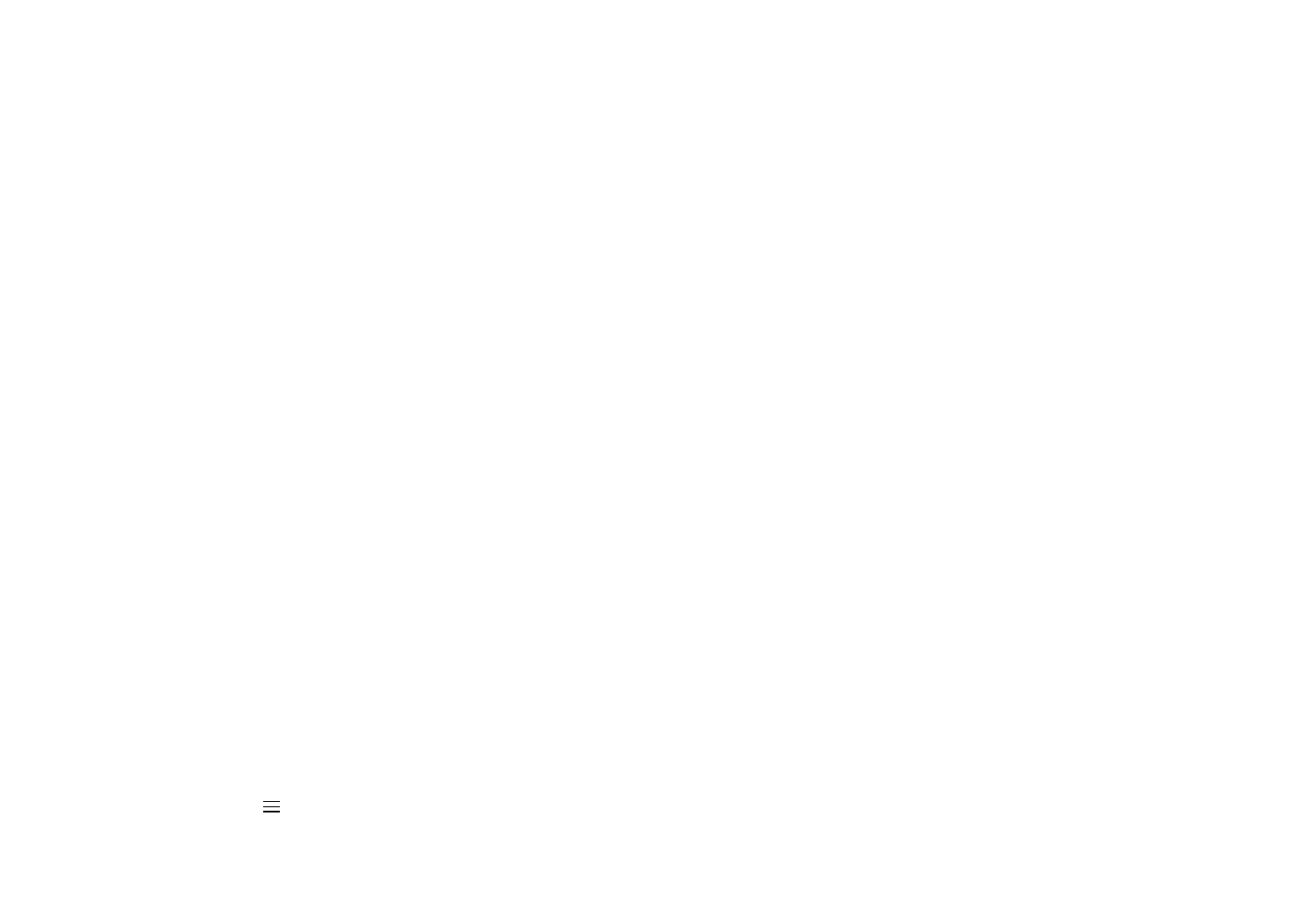<u> 1999 - Andrew Marian, Amerikaansk politiker (</u> <u> 1970 - Andrea Stationer, fransk politiker (</u>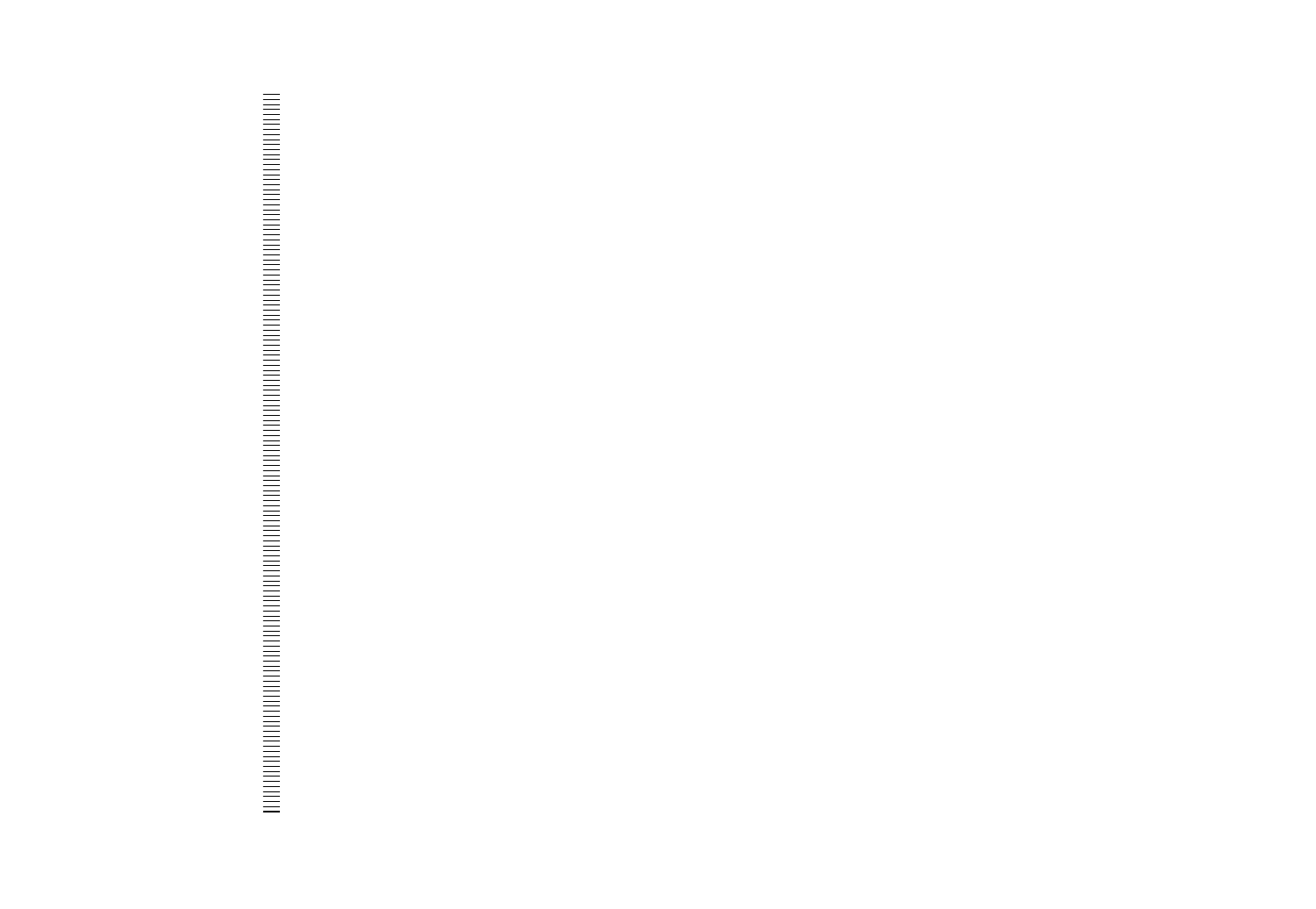$\overline{\phantom{a}}$  and  $\overline{\phantom{a}}$  and  $\overline{\phantom{a}}$ <u> a componente de la propia de la propia de la propia de la propia de la propia de la propia de la propia de la</u>  $\overline{\phantom{a}}$  and  $\overline{\phantom{a}}$  and  $\overline{\phantom{a}}$  $\overline{\phantom{a}}$  and  $\overline{\phantom{a}}$  and  $\overline{\phantom{a}}$  $\overline{\phantom{a}}$  and  $\overline{\phantom{a}}$  and  $\overline{\phantom{a}}$  $\overline{\phantom{a}}$  and  $\overline{\phantom{a}}$  and  $\overline{\phantom{a}}$ <u> a componente de la propia de la propia de la propia de la propia de la propia de la propia de la propia de la</u>  $\overline{\phantom{a}}$  and  $\overline{\phantom{a}}$  and  $\overline{\phantom{a}}$  $\overline{\phantom{a}}$  and  $\overline{\phantom{a}}$  and  $\overline{\phantom{a}}$  $\overline{\phantom{a}}$  and  $\overline{\phantom{a}}$  and  $\overline{\phantom{a}}$  $\overline{\phantom{a}}$  and  $\overline{\phantom{a}}$  and  $\overline{\phantom{a}}$  $\overline{\phantom{a}}$  and  $\overline{\phantom{a}}$  and  $\overline{\phantom{a}}$  $\overline{\phantom{a}}$  and  $\overline{\phantom{a}}$  and  $\overline{\phantom{a}}$ <u> a shekara ta 1999 a shekara ta 1999 a shekara ta 1999 a shekara ta 1999 a shekara ta 1999 a shekara ta 1999 a </u>  $\overline{\phantom{a}}$  and  $\overline{\phantom{a}}$  and  $\overline{\phantom{a}}$  $\overline{\phantom{a}}$  and  $\overline{\phantom{a}}$  and  $\overline{\phantom{a}}$  and  $\overline{\phantom{a}}$  $\overline{\phantom{a}}$  and  $\overline{\phantom{a}}$  and  $\overline{\phantom{a}}$ <u> a componente de la propincia de la propincia de la propincia de la propincia de la propincia de la propincia </u>  $\overline{\phantom{a}}$  and  $\overline{\phantom{a}}$  and  $\overline{\phantom{a}}$ <u> The Communication of the Communication of the Communication of the Communication of the Communication of the Communication of the Communication of the Communication of the Communication of the Communication of the Commun</u>  $\overline{\phantom{a}}$  and  $\overline{\phantom{a}}$  and  $\overline{\phantom{a}}$ <u> 1970 - Andrea Stationer, fransk politiker (</u>  $\overline{\phantom{a}}$  and  $\overline{\phantom{a}}$  and  $\overline{\phantom{a}}$  $\overline{\phantom{a}}$  and  $\overline{\phantom{a}}$  and  $\overline{\phantom{a}}$  and  $\overline{\phantom{a}}$ <u> The Communication of the Communication of the Communication of the Communication of the Communication of the Communication of the Communication of the Communication of the Communication of the Communication of the Commun</u>  $\overline{\phantom{a}}$  and  $\overline{\phantom{a}}$  and  $\overline{\phantom{a}}$  $\overline{\phantom{a}}$  and  $\overline{\phantom{a}}$  and  $\overline{\phantom{a}}$  and  $\overline{\phantom{a}}$  $\overline{\phantom{a}}$  and  $\overline{\phantom{a}}$  and  $\overline{\phantom{a}}$  $\overline{\phantom{a}}$  and  $\overline{\phantom{a}}$  and  $\overline{\phantom{a}}$  $\overline{\phantom{a}}$  and  $\overline{\phantom{a}}$  and  $\overline{\phantom{a}}$  $\overline{\phantom{a}}$  and  $\overline{\phantom{a}}$  and  $\overline{\phantom{a}}$  $\overline{\phantom{a}}$  and  $\overline{\phantom{a}}$  and  $\overline{\phantom{a}}$  $\overline{\phantom{a}}$  and  $\overline{\phantom{a}}$  and  $\overline{\phantom{a}}$  $\overline{\phantom{a}}$  and  $\overline{\phantom{a}}$  and  $\overline{\phantom{a}}$ <u> a shekara ta 1999 a shekara ta 1999 a shekara ta 1999 a shekara ta 1999 a shekara ta 1999 a shekara ta 1999 a </u>  $\overline{\phantom{a}}$  and  $\overline{\phantom{a}}$  and  $\overline{\phantom{a}}$  and  $\overline{\phantom{a}}$ <u> a shekara ta 1999 a shekara ta 1999 a shekara ta 1999 a shekara ta 1999 a shekara ta 1999 a shekara ta 1999 a shekara ta 1999 a shekara ta 1999 a shekara ta 1999 a shekara ta 1999 a shekara ta 1999 a shekara ta 1999 a sh</u> <u> a shekara ta 1999 a shekara ta 1999 a shekara ta 1999 a shekara ta 1999 a shekara ta 1999 a shekara ta 1999 a </u> <u> 1989 - Andrea Station Barnett, fransk politiker (</u>  $\overline{\phantom{a}}$  and  $\overline{\phantom{a}}$  and  $\overline{\phantom{a}}$  and  $\overline{\phantom{a}}$  $\overline{\phantom{a}}$  and  $\overline{\phantom{a}}$  and  $\overline{\phantom{a}}$  and  $\overline{\phantom{a}}$  $\overline{\phantom{a}}$  and  $\overline{\phantom{a}}$  and  $\overline{\phantom{a}}$ <u> a shekara ta 1999 a shekara ta 1999 a shekara ta 1999 a shekara ta 1999 a shekara ta 1999 a shekara ta 1999 a shekara ta 1999 a shekara ta 1999 a shekara ta 1999 a shekara ta 1999 a shekara ta 1999 a shekara ta 1999 a sh</u>  $\overline{\phantom{a}}$  and  $\overline{\phantom{a}}$  and  $\overline{\phantom{a}}$  and  $\overline{\phantom{a}}$  $\overline{\phantom{a}}$  and  $\overline{\phantom{a}}$  and  $\overline{\phantom{a}}$  and  $\overline{\phantom{a}}$  $\overline{\phantom{a}}$  and  $\overline{\phantom{a}}$  and  $\overline{\phantom{a}}$ <u> 1989 - Andrea Stationer, s</u>  $\overline{\phantom{a}}$  and  $\overline{\phantom{a}}$  and  $\overline{\phantom{a}}$ <u> 1970 - Andrea Stationer, fransk politiker (</u>  $\overline{\phantom{a}}$  and  $\overline{\phantom{a}}$  and  $\overline{\phantom{a}}$  and  $\overline{\phantom{a}}$  $\overline{\phantom{a}}$  and  $\overline{\phantom{a}}$  and  $\overline{\phantom{a}}$  $\overline{\phantom{a}}$  and  $\overline{\phantom{a}}$  and  $\overline{\phantom{a}}$  and  $\overline{\phantom{a}}$  $\overline{\phantom{a}}$  and  $\overline{\phantom{a}}$  and  $\overline{\phantom{a}}$  $\overline{\phantom{a}}$  and  $\overline{\phantom{a}}$  and  $\overline{\phantom{a}}$  and  $\overline{\phantom{a}}$ <u> 1970 - Andrew Maria Barat (</u>  $\overline{\phantom{a}}$  and  $\overline{\phantom{a}}$  and  $\overline{\phantom{a}}$  $\overline{\phantom{a}}$  and  $\overline{\phantom{a}}$  and  $\overline{\phantom{a}}$  and  $\overline{\phantom{a}}$  $\overline{\phantom{a}}$  and  $\overline{\phantom{a}}$  and  $\overline{\phantom{a}}$  $\overline{\phantom{a}}$  and  $\overline{\phantom{a}}$  and  $\overline{\phantom{a}}$ <u> a component de la propincia de la propincia de la propincia de la propincia de la propincia de la propincia d</u> <u> a shekara ta 1999 a shekara ta 1999 a shekara ta 1999 a shekara ta 1999 a shekara ta 1999 a shekara ta 1999 a </u>  $\overline{\phantom{a}}$  and  $\overline{\phantom{a}}$  and  $\overline{\phantom{a}}$ <u> a componente de la propia de la propia de la propia de la propia de la propia de la propia de la propia de la</u> <u> a component de la propincia de la propincia de la propincia de la propincia de la propincia de la propincia d</u> <u> a shekara ta 1999 a shekara ta 1999 a shekara ta 1999 a shekara ta 1999 a shekara ta 1999 a shekara ta 1999 a </u>  $\overline{\phantom{a}}$  and  $\overline{\phantom{a}}$  and  $\overline{\phantom{a}}$  $\overline{\phantom{a}}$  and  $\overline{\phantom{a}}$  and  $\overline{\phantom{a}}$ <u> a component de la propincia de la propincia de la propincia de la propincia de la propincia de la propincia d</u> <u> a component de la propincia de la propincia de la propincia de la propincia de la propincia de la propincia d</u> <u> a shekara ta 1999 a shekara ta 1999 a shekara ta 1999 a shekara ta 1999 a shekara ta 1999 a shekara ta 1999 a </u>  $\overline{\phantom{a}}$  and  $\overline{\phantom{a}}$  and  $\overline{\phantom{a}}$  $\overline{\phantom{a}}$  and  $\overline{\phantom{a}}$  and  $\overline{\phantom{a}}$ <u> a component de la propincia de la propincia de la propincia de la propincia de la propincia de la propincia d</u>  $\overline{\phantom{a}}$  and  $\overline{\phantom{a}}$  and  $\overline{\phantom{a}}$  $\overline{\phantom{a}}$  and  $\overline{\phantom{a}}$  and  $\overline{\phantom{a}}$  $\overline{\phantom{a}}$  and  $\overline{\phantom{a}}$  and  $\overline{\phantom{a}}$  $\overline{\phantom{a}}$  and  $\overline{\phantom{a}}$  and  $\overline{\phantom{a}}$  $\overline{\phantom{a}}$  and  $\overline{\phantom{a}}$  and  $\overline{\phantom{a}}$  $\overline{\phantom{a}}$  and  $\overline{\phantom{a}}$  and  $\overline{\phantom{a}}$  $\overline{\phantom{a}}$  and  $\overline{\phantom{a}}$  and  $\overline{\phantom{a}}$  and  $\overline{\phantom{a}}$ <u> a shekara ta 1999 a shekara ta 1999 a shekara ta 1999 a shekara ta 1999 a shekara ta 1999 a shekara ta 1999 a shekara ta 1999 a shekara ta 1999 a shekara ta 1999 a shekara ta 1999 a shekara ta 1999 a shekara ta 1999 a sh</u> <u> 1999 - Andrea Stationer, s</u>  $\overline{\phantom{a}}$  and  $\overline{\phantom{a}}$  and  $\overline{\phantom{a}}$  $\overline{\phantom{a}}$  and  $\overline{\phantom{a}}$  and  $\overline{\phantom{a}}$  $\overline{\phantom{a}}$  and  $\overline{\phantom{a}}$  and  $\overline{\phantom{a}}$  $\overline{\phantom{a}}$  and  $\overline{\phantom{a}}$  and  $\overline{\phantom{a}}$  and  $\overline{\phantom{a}}$  $\overline{\phantom{a}}$  and  $\overline{\phantom{a}}$  and  $\overline{\phantom{a}}$  $\overline{\phantom{a}}$  and  $\overline{\phantom{a}}$  and  $\overline{\phantom{a}}$  $\overline{\phantom{a}}$  and  $\overline{\phantom{a}}$  and  $\overline{\phantom{a}}$ <u> 1989 - Andrea Station Barnett, fransk politiker (</u>  $\overline{\phantom{a}}$  and  $\overline{\phantom{a}}$  and  $\overline{\phantom{a}}$  $\overline{\phantom{a}}$  and  $\overline{\phantom{a}}$  and  $\overline{\phantom{a}}$  $\overline{\phantom{a}}$  and  $\overline{\phantom{a}}$  and  $\overline{\phantom{a}}$  $\overline{\phantom{a}}$  and  $\overline{\phantom{a}}$  and  $\overline{\phantom{a}}$  $\overline{\phantom{a}}$  and  $\overline{\phantom{a}}$  and  $\overline{\phantom{a}}$  $\overline{\phantom{a}}$  and  $\overline{\phantom{a}}$  and  $\overline{\phantom{a}}$ <u> a shekara ta 1999 a shekara ta 1999 a shekara ta 1999 a shekara ta 1999 a shekara ta 1999 a shekara ta 1999 a </u>  $\overline{\phantom{a}}$  and  $\overline{\phantom{a}}$  and  $\overline{\phantom{a}}$  and  $\overline{\phantom{a}}$  $\overline{\phantom{a}}$  and  $\overline{\phantom{a}}$  and  $\overline{\phantom{a}}$ <u> a shekara ta 1999 a shekara ta 1999 a shekara ta 1999 a shekara ta 1999 a shekara ta 1999 a shekara ta 1999 a </u> <u> a shekara ta 1999 a shekara ta 1999 a shekara ta 1999 a shekara ta 1999 a shekara ta 1999 a shekara ta 1999 a </u>  $\overline{\phantom{a}}$  and  $\overline{\phantom{a}}$  and  $\overline{\phantom{a}}$  $\overline{\phantom{a}}$  and  $\overline{\phantom{a}}$  and  $\overline{\phantom{a}}$  and  $\overline{\phantom{a}}$  $\overline{\phantom{a}}$  and  $\overline{\phantom{a}}$  and  $\overline{\phantom{a}}$  and  $\overline{\phantom{a}}$  $\overline{\phantom{a}}$  and  $\overline{\phantom{a}}$  and  $\overline{\phantom{a}}$  $\overline{\phantom{a}}$  and  $\overline{\phantom{a}}$  and  $\overline{\phantom{a}}$ <u> 1970 - Andrea Stationer, fransk politiker (</u> <u> 1970 - Andrea Albert III, politik politik (</u> <u> 1999 - Andrea Station Barbara (</u>